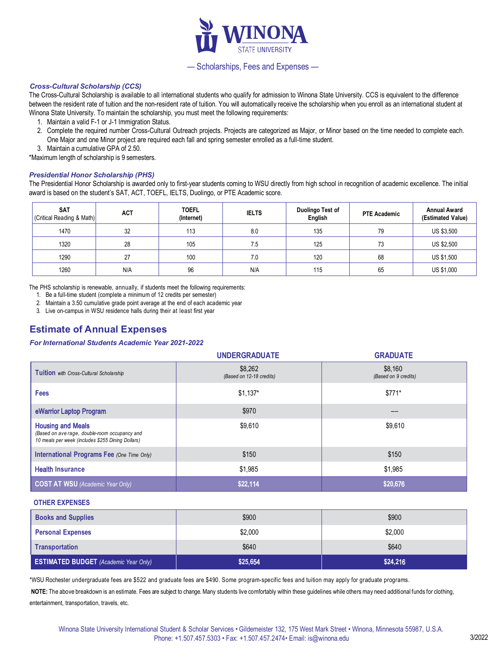

## — Scholarships, Fees and Expenses —

### *Cross-Cultural Scholarship (CCS)*

The Cross-Cultural Scholarship is available to all international students who qualify for admission to Winona State University. CCS is equivalent to the difference between the resident rate of tuition and the non-resident rate of tuition. You will automatically receive the scholarship when you enroll as an international student at Winona State University. To maintain the scholarship, you must meet the following requirements:

- 1. Maintain a valid F-1 or J-1 Immigration Status.
- 2. Complete the required number Cross-Cultural Outreach projects. Projects are categorized as Major, or Minor based on the time needed to complete each. One Major and one Minor project are required each fall and spring semester enrolled as a full-time student.
- 3. Maintain a cumulative GPA of 2.50.

\*Maximum length of scholarship is 9 semesters.

### *Presidential Honor Scholarship (PHS)*

The Presidential Honor Scholarship is awarded only to first-year students coming to WSU directly from high school in recognition of academic excellence. The initial award is based on the student's SAT, ACT, TOEFL, IELTS, Duolingo, or PTE Academic score.

| <b>SAT</b><br>(Critical Reading & Math) | <b>ACT</b> | <b>TOEFL</b><br>(Internet) | <b>IELTS</b> | Duolingo Test of<br>English | <b>PTE Academic</b> | <b>Annual Award</b><br>(Estimated Value) |
|-----------------------------------------|------------|----------------------------|--------------|-----------------------------|---------------------|------------------------------------------|
| 1470                                    | 32         | 113                        | 8.0          | 135                         | 79                  | US \$3,500                               |
| 1320                                    | 28         | 105                        | 7.5          | 125                         | 72<br>د ا           | US \$2,500                               |
| 1290                                    | 27         | 100                        | 7.0          | 120                         | 68                  | US \$1,500                               |
| 1260                                    | N/A        | 96                         | N/A          | 115                         | 65                  | US \$1,000                               |

The PHS scholarship is renewable, annually, if students meet the following requirements:

- 1. Be a full-time student (complete a minimum of 12 credits per semester)
- 2. Maintain a 3.50 cumulative grade point average at the end of each academic year

3. Live on-campus in WSU residence halls during their at least first year

# **Estimate of Annual Expenses**

#### *For International Students Academic Year 2021-2022*

|                                                                                                                                | <b>UNDERGRADUATE</b>                | <b>GRADUATE</b>                 |
|--------------------------------------------------------------------------------------------------------------------------------|-------------------------------------|---------------------------------|
| Tuition with Cross-Cultural Scholarship                                                                                        | \$8,262<br>(Based on 12-18 credits) | \$8,160<br>(Based on 9 credits) |
| Fees                                                                                                                           | $$1,137$ *                          | $$771*$                         |
| eWarrior Laptop Program                                                                                                        | \$970                               | --                              |
| <b>Housing and Meals</b><br>(Based on ave rage, double-room occupancy and<br>10 meals per week (includes \$255 Dining Dollars) | \$9,610                             | \$9,610                         |
| <b>International Programs Fee (One Time Only)</b>                                                                              | \$150                               | \$150                           |
| <b>Health Insurance</b>                                                                                                        | \$1,985                             | \$1,985                         |
| <b>COST AT WSU</b> (Academic Year Only)                                                                                        | \$22,114                            | \$20,676                        |

#### **OTHER EXPENSES**

| <b>ESTIMATED BUDGET</b> (Academic Year Only) | \$25,654 | \$24,216 |
|----------------------------------------------|----------|----------|
| Transportation                               | \$640    | \$640    |
| <b>Personal Expenses</b>                     | \$2,000  | \$2,000  |
| <b>Books and Supplies</b>                    | \$900    | \$900    |

\*WSU Rochester undergraduate fees are \$522 and graduate fees are \$490. Some program-specific fees and tuition may apply for graduate programs.

**NOTE:** The above breakdown is an estimate. Fees are subject to change. Many students live comfortably within these guidelines while others may need additional funds for clothing, entertainment, transportation, travels, etc.